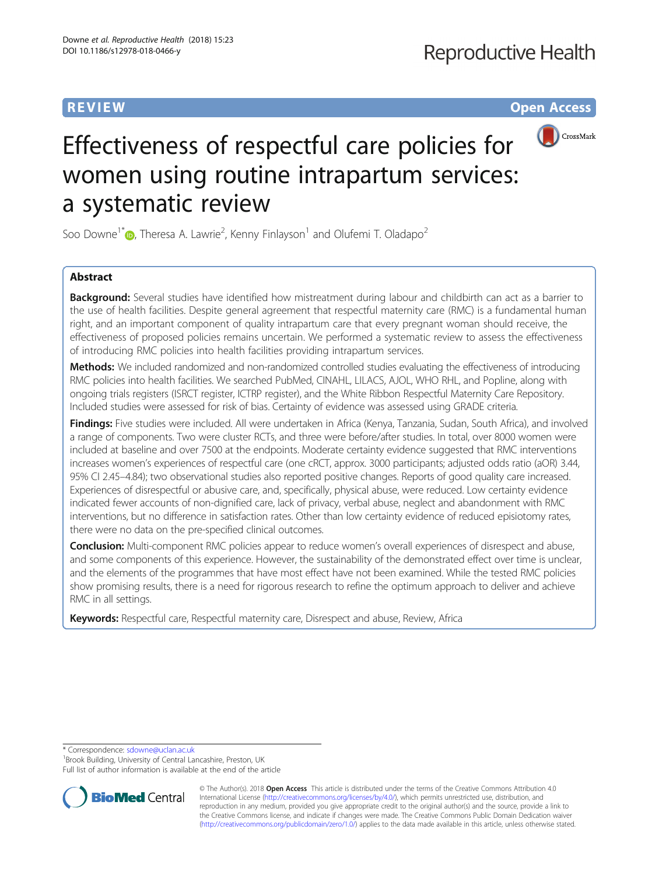**REVIEW CONTROL** CONTROL CONTROL CONTROL CONTROL CONTROL CONTROL CONTROL CONTROL CONTROL CONTROL CONTROL CONTROL CONTROL CONTROL CONTROL CONTROL CONTROL CONTROL CONTROL CONTROL CONTROL CONTROL CONTROL CONTROL CONTROL CONTR



# Effectiveness of respectful care policies for women using routine intrapartum services: a systematic review

Soo Downe<sup>1\*</sup> $\bullet$ [,](http://orcid.org/0000-0003-2848-2550) Theresa A. Lawrie<sup>2</sup>, Kenny Finlayson<sup>1</sup> and Olufemi T. Oladapo<sup>2</sup>

# Abstract

Background: Several studies have identified how mistreatment during labour and childbirth can act as a barrier to the use of health facilities. Despite general agreement that respectful maternity care (RMC) is a fundamental human right, and an important component of quality intrapartum care that every pregnant woman should receive, the effectiveness of proposed policies remains uncertain. We performed a systematic review to assess the effectiveness of introducing RMC policies into health facilities providing intrapartum services.

Methods: We included randomized and non-randomized controlled studies evaluating the effectiveness of introducing RMC policies into health facilities. We searched PubMed, CINAHL, LILACS, AJOL, WHO RHL, and Popline, along with ongoing trials registers (ISRCT register, ICTRP register), and the White Ribbon Respectful Maternity Care Repository. Included studies were assessed for risk of bias. Certainty of evidence was assessed using GRADE criteria.

Findings: Five studies were included. All were undertaken in Africa (Kenya, Tanzania, Sudan, South Africa), and involved a range of components. Two were cluster RCTs, and three were before/after studies. In total, over 8000 women were included at baseline and over 7500 at the endpoints. Moderate certainty evidence suggested that RMC interventions increases women's experiences of respectful care (one cRCT, approx. 3000 participants; adjusted odds ratio (aOR) 3.44, 95% CI 2.45–4.84); two observational studies also reported positive changes. Reports of good quality care increased. Experiences of disrespectful or abusive care, and, specifically, physical abuse, were reduced. Low certainty evidence indicated fewer accounts of non-dignified care, lack of privacy, verbal abuse, neglect and abandonment with RMC interventions, but no difference in satisfaction rates. Other than low certainty evidence of reduced episiotomy rates, there were no data on the pre-specified clinical outcomes.

**Conclusion:** Multi-component RMC policies appear to reduce women's overall experiences of disrespect and abuse, and some components of this experience. However, the sustainability of the demonstrated effect over time is unclear, and the elements of the programmes that have most effect have not been examined. While the tested RMC policies show promising results, there is a need for rigorous research to refine the optimum approach to deliver and achieve RMC in all settings.

Keywords: Respectful care, Respectful maternity care, Disrespect and abuse, Review, Africa

\* Correspondence: [sdowne@uclan.ac.uk](mailto:sdowne@uclan.ac.uk) <sup>1</sup>

<sup>1</sup> Brook Building, University of Central Lancashire, Preston, UK Full list of author information is available at the end of the article



© The Author(s). 2018 Open Access This article is distributed under the terms of the Creative Commons Attribution 4.0 International License [\(http://creativecommons.org/licenses/by/4.0/](http://creativecommons.org/licenses/by/4.0/)), which permits unrestricted use, distribution, and reproduction in any medium, provided you give appropriate credit to the original author(s) and the source, provide a link to the Creative Commons license, and indicate if changes were made. The Creative Commons Public Domain Dedication waiver [\(http://creativecommons.org/publicdomain/zero/1.0/](http://creativecommons.org/publicdomain/zero/1.0/)) applies to the data made available in this article, unless otherwise stated.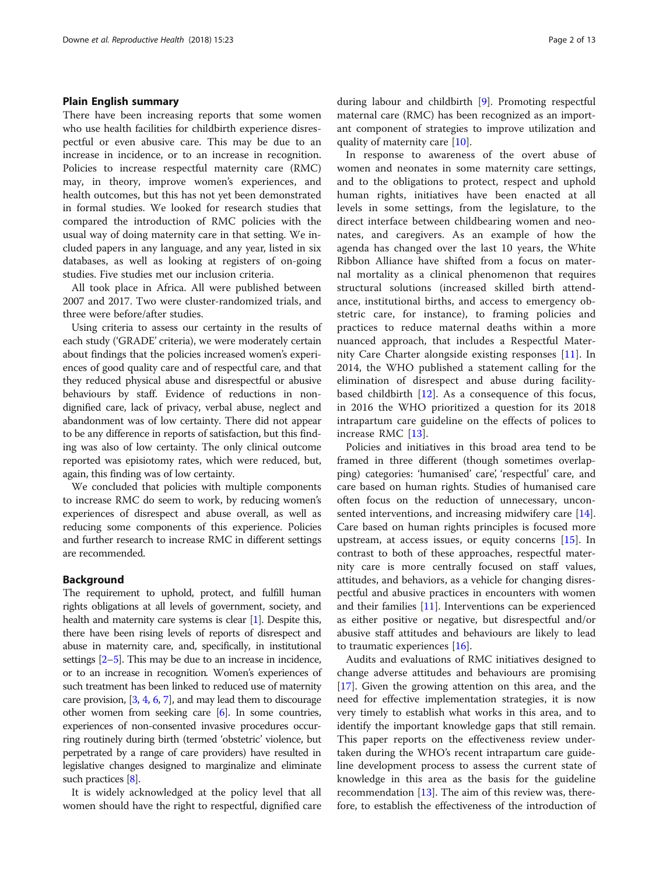# Plain English summary

There have been increasing reports that some women who use health facilities for childbirth experience disrespectful or even abusive care. This may be due to an increase in incidence, or to an increase in recognition. Policies to increase respectful maternity care (RMC) may, in theory, improve women's experiences, and health outcomes, but this has not yet been demonstrated in formal studies. We looked for research studies that compared the introduction of RMC policies with the usual way of doing maternity care in that setting. We included papers in any language, and any year, listed in six databases, as well as looking at registers of on-going studies. Five studies met our inclusion criteria.

All took place in Africa. All were published between 2007 and 2017. Two were cluster-randomized trials, and three were before/after studies.

Using criteria to assess our certainty in the results of each study ('GRADE' criteria), we were moderately certain about findings that the policies increased women's experiences of good quality care and of respectful care, and that they reduced physical abuse and disrespectful or abusive behaviours by staff. Evidence of reductions in nondignified care, lack of privacy, verbal abuse, neglect and abandonment was of low certainty. There did not appear to be any difference in reports of satisfaction, but this finding was also of low certainty. The only clinical outcome reported was episiotomy rates, which were reduced, but, again, this finding was of low certainty.

We concluded that policies with multiple components to increase RMC do seem to work, by reducing women's experiences of disrespect and abuse overall, as well as reducing some components of this experience. Policies and further research to increase RMC in different settings are recommended.

# Background

The requirement to uphold, protect, and fulfill human rights obligations at all levels of government, society, and health and maternity care systems is clear [[1](#page-11-0)]. Despite this, there have been rising levels of reports of disrespect and abuse in maternity care, and, specifically, in institutional settings [\[2](#page-11-0)–[5](#page-11-0)]. This may be due to an increase in incidence, or to an increase in recognition. Women's experiences of such treatment has been linked to reduced use of maternity care provision, [\[3](#page-11-0), [4,](#page-11-0) [6,](#page-11-0) [7](#page-12-0)], and may lead them to discourage other women from seeking care [\[6](#page-11-0)]. In some countries, experiences of non-consented invasive procedures occurring routinely during birth (termed 'obstetric' violence, but perpetrated by a range of care providers) have resulted in legislative changes designed to marginalize and eliminate such practices [\[8](#page-12-0)].

It is widely acknowledged at the policy level that all women should have the right to respectful, dignified care during labour and childbirth [\[9](#page-12-0)]. Promoting respectful maternal care (RMC) has been recognized as an important component of strategies to improve utilization and quality of maternity care [\[10](#page-12-0)].

In response to awareness of the overt abuse of women and neonates in some maternity care settings, and to the obligations to protect, respect and uphold human rights, initiatives have been enacted at all levels in some settings, from the legislature, to the direct interface between childbearing women and neonates, and caregivers. As an example of how the agenda has changed over the last 10 years, the White Ribbon Alliance have shifted from a focus on maternal mortality as a clinical phenomenon that requires structural solutions (increased skilled birth attendance, institutional births, and access to emergency obstetric care, for instance), to framing policies and practices to reduce maternal deaths within a more nuanced approach, that includes a Respectful Maternity Care Charter alongside existing responses [\[11](#page-12-0)]. In 2014, the WHO published a statement calling for the elimination of disrespect and abuse during facilitybased childbirth [[12\]](#page-12-0). As a consequence of this focus, in 2016 the WHO prioritized a question for its 2018 intrapartum care guideline on the effects of polices to increase RMC [[13\]](#page-12-0).

Policies and initiatives in this broad area tend to be framed in three different (though sometimes overlapping) categories: 'humanised' care', 'respectful' care, and care based on human rights. Studies of humanised care often focus on the reduction of unnecessary, uncon-sented interventions, and increasing midwifery care [\[14](#page-12-0)]. Care based on human rights principles is focused more upstream, at access issues, or equity concerns [\[15\]](#page-12-0). In contrast to both of these approaches, respectful maternity care is more centrally focused on staff values, attitudes, and behaviors, as a vehicle for changing disrespectful and abusive practices in encounters with women and their families [\[11\]](#page-12-0). Interventions can be experienced as either positive or negative, but disrespectful and/or abusive staff attitudes and behaviours are likely to lead to traumatic experiences [[16\]](#page-12-0).

Audits and evaluations of RMC initiatives designed to change adverse attitudes and behaviours are promising [[17\]](#page-12-0). Given the growing attention on this area, and the need for effective implementation strategies, it is now very timely to establish what works in this area, and to identify the important knowledge gaps that still remain. This paper reports on the effectiveness review undertaken during the WHO's recent intrapartum care guideline development process to assess the current state of knowledge in this area as the basis for the guideline recommendation  $[13]$  $[13]$  $[13]$ . The aim of this review was, therefore, to establish the effectiveness of the introduction of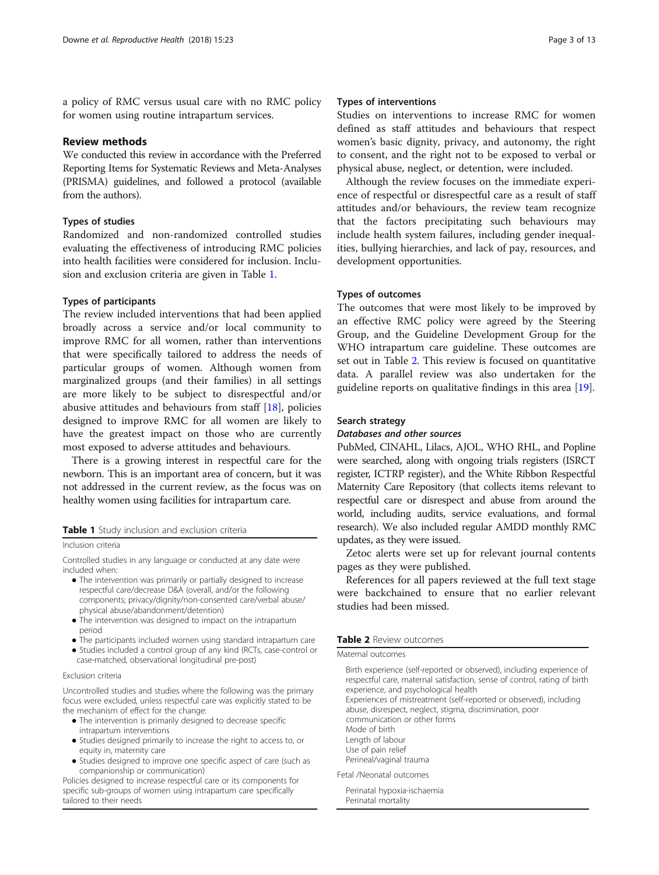a policy of RMC versus usual care with no RMC policy for women using routine intrapartum services.

# Review methods

We conducted this review in accordance with the Preferred Reporting Items for Systematic Reviews and Meta-Analyses (PRISMA) guidelines, and followed a protocol (available from the authors).

# Types of studies

Randomized and non-randomized controlled studies evaluating the effectiveness of introducing RMC policies into health facilities were considered for inclusion. Inclusion and exclusion criteria are given in Table 1.

# Types of participants

The review included interventions that had been applied broadly across a service and/or local community to improve RMC for all women, rather than interventions that were specifically tailored to address the needs of particular groups of women. Although women from marginalized groups (and their families) in all settings are more likely to be subject to disrespectful and/or abusive attitudes and behaviours from staff [\[18](#page-12-0)], policies designed to improve RMC for all women are likely to have the greatest impact on those who are currently most exposed to adverse attitudes and behaviours.

There is a growing interest in respectful care for the newborn. This is an important area of concern, but it was not addressed in the current review, as the focus was on healthy women using facilities for intrapartum care.

#### Table 1 Study inclusion and exclusion criteria

Inclusion criteria

Controlled studies in any language or conducted at any date were included when:

- The intervention was primarily or partially designed to increase respectful care/decrease D&A (overall, and/or the following components; privacy/dignity/non-consented care/verbal abuse/ physical abuse/abandonment/detention)
- The intervention was designed to impact on the intrapartum period
- The participants included women using standard intrapartum care
- Studies included a control group of any kind (RCTs, case-control or case-matched, observational longitudinal pre-post)

#### Exclusion criteria

Uncontrolled studies and studies where the following was the primary focus were excluded, unless respectful care was explicitly stated to be the mechanism of effect for the change:

- The intervention is primarily designed to decrease specific intrapartum interventions
- Studies designed primarily to increase the right to access to, or equity in, maternity care
- Studies designed to improve one specific aspect of care (such as companionship or communication)

Policies designed to increase respectful care or its components for specific sub-groups of women using intrapartum care specifically tailored to their needs

# Types of interventions

Studies on interventions to increase RMC for women defined as staff attitudes and behaviours that respect women's basic dignity, privacy, and autonomy, the right to consent, and the right not to be exposed to verbal or physical abuse, neglect, or detention, were included.

Although the review focuses on the immediate experience of respectful or disrespectful care as a result of staff attitudes and/or behaviours, the review team recognize that the factors precipitating such behaviours may include health system failures, including gender inequalities, bullying hierarchies, and lack of pay, resources, and development opportunities.

# Types of outcomes

The outcomes that were most likely to be improved by an effective RMC policy were agreed by the Steering Group, and the Guideline Development Group for the WHO intrapartum care guideline. These outcomes are set out in Table 2. This review is focused on quantitative data. A parallel review was also undertaken for the guideline reports on qualitative findings in this area [[19](#page-12-0)].

## Search strategy

#### Databases and other sources

PubMed, CINAHL, Lilacs, AJOL, WHO RHL, and Popline were searched, along with ongoing trials registers (ISRCT register, ICTRP register), and the White Ribbon Respectful Maternity Care Repository (that collects items relevant to respectful care or disrespect and abuse from around the world, including audits, service evaluations, and formal research). We also included regular AMDD monthly RMC updates, as they were issued.

Zetoc alerts were set up for relevant journal contents pages as they were published.

References for all papers reviewed at the full text stage were backchained to ensure that no earlier relevant studies had been missed.

Table 2 Review outcomes Maternal outcomes Birth experience (self-reported or observed), including experience of respectful care, maternal satisfaction, sense of control, rating of birth experience, and psychological health Experiences of mistreatment (self-reported or observed), including abuse, disrespect, neglect, stigma, discrimination, poor communication or other forms Mode of birth Length of labour Use of pain relief Perineal/vaginal trauma Fetal /Neonatal outcomes

Perinatal hypoxia-ischaemia Perinatal mortality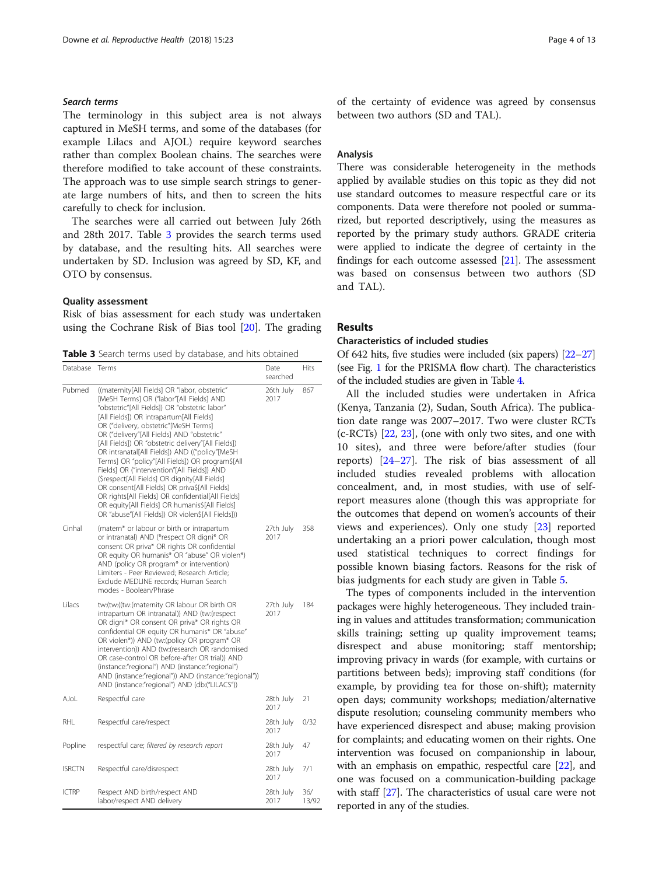# Search terms

The terminology in this subject area is not always captured in MeSH terms, and some of the databases (for example Lilacs and AJOL) require keyword searches rather than complex Boolean chains. The searches were therefore modified to take account of these constraints. The approach was to use simple search strings to generate large numbers of hits, and then to screen the hits carefully to check for inclusion.

The searches were all carried out between July 26th and 28th 2017. Table 3 provides the search terms used by database, and the resulting hits. All searches were undertaken by SD. Inclusion was agreed by SD, KF, and OTO by consensus.

# Quality assessment

Risk of bias assessment for each study was undertaken using the Cochrane Risk of Bias tool [\[20](#page-12-0)]. The grading

Table 3 Search terms used by database, and hits obtained

| Database      | Terms                                                                                                                                                                                                                                                                                                                                                                                                                                                                                                                                                                                                                                                                                                                                                  | Date<br>searched  | Hits         |
|---------------|--------------------------------------------------------------------------------------------------------------------------------------------------------------------------------------------------------------------------------------------------------------------------------------------------------------------------------------------------------------------------------------------------------------------------------------------------------------------------------------------------------------------------------------------------------------------------------------------------------------------------------------------------------------------------------------------------------------------------------------------------------|-------------------|--------------|
| Pubmed        | ((maternity[All Fields] OR "labor, obstetric"<br>[MeSH Terms] OR ("labor"[All Fields] AND<br>"obstetric"[All Fields]) OR "obstetric labor"<br>[All Fields]) OR intrapartum[All Fields]<br>OR ("delivery, obstetric"[MeSH Terms]<br>OR ("delivery"[All Fields] AND "obstetric"<br>[All Fields]) OR "obstetric delivery"[All Fields])<br>OR intranatal[All Fields]) AND (("policy"[MeSH<br>Terms] OR "policy"[All Fields]) OR program\$[All<br>Fields] OR ("intervention"[All Fields]) AND<br>(\$respect[All Fields] OR dignity[All Fields]<br>OR consent[All Fields] OR priva\$[All Fields]<br>OR rights[All Fields] OR confidential[All Fields]<br>OR equity[All Fields] OR humanis\$[All Fields]<br>OR "abuse"[All Fields]) OR violen\$[All Fields])) | 26th July<br>2017 | 867          |
| Cinhal        | (matern* or labour or birth or intrapartum<br>or intranatal) AND (*respect OR digni* OR<br>consent OR priva* OR rights OR confidential<br>OR equity OR humanis* OR "abuse" OR violen*)<br>AND (policy OR program* or intervention)<br>Limiters - Peer Reviewed; Research Article;<br>Exclude MEDLINE records; Human Search<br>modes - Boolean/Phrase                                                                                                                                                                                                                                                                                                                                                                                                   | 27th July<br>2017 | 358          |
| Lilacs        | tw:(tw:((tw:(maternity OR labour OR birth OR<br>intrapartum OR intranatal)) AND (tw:(respect<br>OR digni* OR consent OR priva* OR rights OR<br>confidential OR equity OR humanis* OR "abuse"<br>OR violen*)) AND (tw:(policy OR program* OR<br>intervention)) AND (tw:(research OR randomised<br>OR case-control OR before-after OR trial)) AND<br>(instance:"regional") AND (instance:"regional")<br>AND (instance:"regional")) AND (instance:"regional"))<br>AND (instance:"regional") AND (db:("LILACS"))                                                                                                                                                                                                                                           | 27th July<br>2017 | 184          |
| AJoL          | Respectful care                                                                                                                                                                                                                                                                                                                                                                                                                                                                                                                                                                                                                                                                                                                                        | 28th July<br>2017 | 21           |
| RHI           | Respectful care/respect                                                                                                                                                                                                                                                                                                                                                                                                                                                                                                                                                                                                                                                                                                                                | 28th July<br>2017 | 0/32         |
| Popline       | respectful care; filtered by research report                                                                                                                                                                                                                                                                                                                                                                                                                                                                                                                                                                                                                                                                                                           | 28th July<br>2017 | 47           |
| <b>ISRCTN</b> | Respectful care/disrespect                                                                                                                                                                                                                                                                                                                                                                                                                                                                                                                                                                                                                                                                                                                             | 28th July<br>2017 | 7/1          |
| <b>ICTRP</b>  | Respect AND birth/respect AND<br>labor/respect AND delivery                                                                                                                                                                                                                                                                                                                                                                                                                                                                                                                                                                                                                                                                                            | 28th July<br>2017 | 36/<br>13/92 |

of the certainty of evidence was agreed by consensus between two authors (SD and TAL).

# Analysis

There was considerable heterogeneity in the methods applied by available studies on this topic as they did not use standard outcomes to measure respectful care or its components. Data were therefore not pooled or summarized, but reported descriptively, using the measures as reported by the primary study authors. GRADE criteria were applied to indicate the degree of certainty in the findings for each outcome assessed [\[21\]](#page-12-0). The assessment was based on consensus between two authors (SD and TAL).

## Results

#### Characteristics of included studies

Of 642 hits, five studies were included (six papers) [[22](#page-12-0)–[27](#page-12-0)] (see Fig. [1](#page-4-0) for the PRISMA flow chart). The characteristics of the included studies are given in Table [4](#page-5-0).

All the included studies were undertaken in Africa (Kenya, Tanzania (2), Sudan, South Africa). The publication date range was 2007–2017. Two were cluster RCTs  $(c-RCTs)$   $[22, 23]$  $[22, 23]$  $[22, 23]$  $[22, 23]$ , (one with only two sites, and one with 10 sites), and three were before/after studies (four reports) [\[24](#page-12-0)–[27\]](#page-12-0). The risk of bias assessment of all included studies revealed problems with allocation concealment, and, in most studies, with use of selfreport measures alone (though this was appropriate for the outcomes that depend on women's accounts of their views and experiences). Only one study [[23](#page-12-0)] reported undertaking an a priori power calculation, though most used statistical techniques to correct findings for possible known biasing factors. Reasons for the risk of bias judgments for each study are given in Table [5.](#page-6-0)

The types of components included in the intervention packages were highly heterogeneous. They included training in values and attitudes transformation; communication skills training; setting up quality improvement teams; disrespect and abuse monitoring; staff mentorship; improving privacy in wards (for example, with curtains or partitions between beds); improving staff conditions (for example, by providing tea for those on-shift); maternity open days; community workshops; mediation/alternative dispute resolution; counseling community members who have experienced disrespect and abuse; making provision for complaints; and educating women on their rights. One intervention was focused on companionship in labour, with an emphasis on empathic, respectful care [\[22\]](#page-12-0), and one was focused on a communication-building package with staff [\[27\]](#page-12-0). The characteristics of usual care were not reported in any of the studies.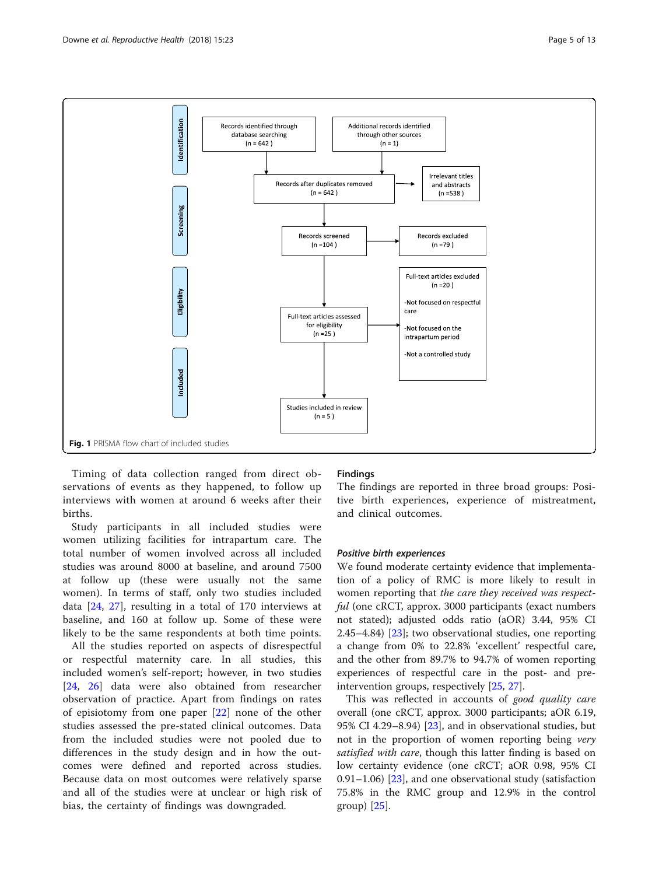<span id="page-4-0"></span>

Timing of data collection ranged from direct observations of events as they happened, to follow up interviews with women at around 6 weeks after their births.

Study participants in all included studies were women utilizing facilities for intrapartum care. The total number of women involved across all included studies was around 8000 at baseline, and around 7500 at follow up (these were usually not the same women). In terms of staff, only two studies included data [[24,](#page-12-0) [27\]](#page-12-0), resulting in a total of 170 interviews at baseline, and 160 at follow up. Some of these were likely to be the same respondents at both time points.

All the studies reported on aspects of disrespectful or respectful maternity care. In all studies, this included women's self-report; however, in two studies [[24,](#page-12-0) [26\]](#page-12-0) data were also obtained from researcher observation of practice. Apart from findings on rates of episiotomy from one paper [[22](#page-12-0)] none of the other studies assessed the pre-stated clinical outcomes. Data from the included studies were not pooled due to differences in the study design and in how the outcomes were defined and reported across studies. Because data on most outcomes were relatively sparse and all of the studies were at unclear or high risk of bias, the certainty of findings was downgraded.

# Findings

The findings are reported in three broad groups: Positive birth experiences, experience of mistreatment, and clinical outcomes.

# Positive birth experiences

We found moderate certainty evidence that implementation of a policy of RMC is more likely to result in women reporting that the care they received was respectful (one cRCT, approx. 3000 participants (exact numbers) not stated); adjusted odds ratio (aOR) 3.44, 95% CI 2.45–4.84) [[23\]](#page-12-0); two observational studies, one reporting a change from 0% to 22.8% 'excellent' respectful care, and the other from 89.7% to 94.7% of women reporting experiences of respectful care in the post- and preintervention groups, respectively [[25](#page-12-0), [27](#page-12-0)].

This was reflected in accounts of good quality care overall (one cRCT, approx. 3000 participants; aOR 6.19, 95% CI 4.29–8.94)  $[23]$  $[23]$ , and in observational studies, but not in the proportion of women reporting being very satisfied with care, though this latter finding is based on low certainty evidence (one cRCT; aOR 0.98, 95% CI 0.91–1.06) [[23\]](#page-12-0), and one observational study (satisfaction 75.8% in the RMC group and 12.9% in the control group) [\[25\]](#page-12-0).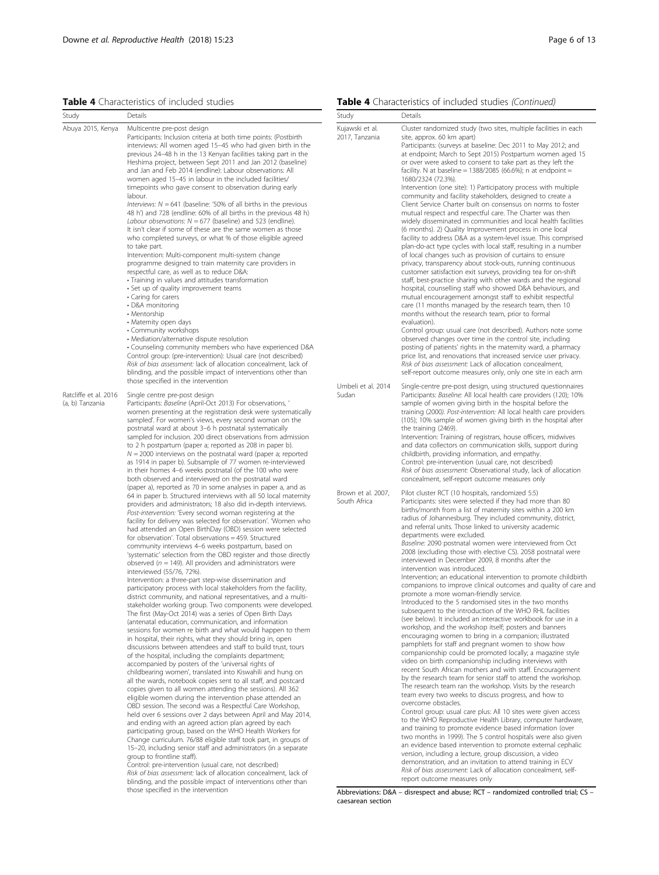<span id="page-5-0"></span>Table 4 Characteristics of included studies

| Study                                    | Details                                                                                                                                                                                                                                                                                                                                                                                                                                                                                                                                                                                                                                                                                                                                                                                                                                                                                                                                                                                                                                                                                                                                                                                                                                                                                                                                                                                                                                                                                                                                                                                                                                                                                                                                                                                                                                                                                                                                                                                                                                                                                                                                                                                                                                                                                                                                                                                                                                                                                                                                                                                                                                                                                                                                                                                                                                                                                            | Study                                                             | Details                                                                                                                                                                                                                                                                                                                                                                                                                                                                                                                                                                                                                                                                                                                                                                                                                                                                                                          |
|------------------------------------------|----------------------------------------------------------------------------------------------------------------------------------------------------------------------------------------------------------------------------------------------------------------------------------------------------------------------------------------------------------------------------------------------------------------------------------------------------------------------------------------------------------------------------------------------------------------------------------------------------------------------------------------------------------------------------------------------------------------------------------------------------------------------------------------------------------------------------------------------------------------------------------------------------------------------------------------------------------------------------------------------------------------------------------------------------------------------------------------------------------------------------------------------------------------------------------------------------------------------------------------------------------------------------------------------------------------------------------------------------------------------------------------------------------------------------------------------------------------------------------------------------------------------------------------------------------------------------------------------------------------------------------------------------------------------------------------------------------------------------------------------------------------------------------------------------------------------------------------------------------------------------------------------------------------------------------------------------------------------------------------------------------------------------------------------------------------------------------------------------------------------------------------------------------------------------------------------------------------------------------------------------------------------------------------------------------------------------------------------------------------------------------------------------------------------------------------------------------------------------------------------------------------------------------------------------------------------------------------------------------------------------------------------------------------------------------------------------------------------------------------------------------------------------------------------------------------------------------------------------------------------------------------------------|-------------------------------------------------------------------|------------------------------------------------------------------------------------------------------------------------------------------------------------------------------------------------------------------------------------------------------------------------------------------------------------------------------------------------------------------------------------------------------------------------------------------------------------------------------------------------------------------------------------------------------------------------------------------------------------------------------------------------------------------------------------------------------------------------------------------------------------------------------------------------------------------------------------------------------------------------------------------------------------------|
| Abuya 2015, Kenya                        | Multicentre pre-post design<br>Participants: Inclusion criteria at both time points: (Postbirth<br>interviews: All women aged 15-45 who had given birth in the<br>previous 24-48 h in the 13 Kenyan facilities taking part in the<br>Heshima project, between Sept 2011 and Jan 2012 (baseline)<br>and Jan and Feb 2014 (endline): Labour observations: All<br>women aged 15-45 in labour in the included facilities/<br>timepoints who gave consent to observation during early<br>labour.<br>Interviews: $N = 641$ (baseline: '50% of all births in the previous<br>48 h') and 728 (endline: 60% of all births in the previous 48 h)<br>Labour observations: $N = 677$ (baseline) and 523 (endline).<br>It isn't clear if some of these are the same women as those<br>who completed surveys, or what % of those eligible agreed<br>to take part.<br>Intervention: Multi-component multi-system change<br>programme designed to train maternity care providers in<br>respectful care, as well as to reduce D&A:<br>· Training in values and attitudes transformation<br>• Set up of quality improvement teams<br>• Caring for carers<br>• D&A monitoring<br>• Mentorship<br>• Maternity open days<br>• Community workshops<br>• Mediation/alternative dispute resolution<br>• Counseling community members who have experienced D&A<br>Control group: (pre-intervention): Usual care (not described)<br>Risk of bias assessment: lack of allocation concealment, lack of<br>blinding, and the possible impact of interventions other than                                                                                                                                                                                                                                                                                                                                                                                                                                                                                                                                                                                                                                                                                                                                                                                                                                                                                                                                                                                                                                                                                                                                                                                                                                                                                                                                                        | Kujawski et al.<br>2017, Tanzania                                 | Cluster random<br>site, approx. 60<br>Participants: (su<br>at endpoint; Ma<br>or over were as<br>facility. N at bas<br>1680/2324 (72.3<br>Intervention (or<br>community and<br>Client Service C<br>mutual respect<br>widely dissemir<br>(6 months). 2) C<br>facility to addre<br>plan-do-act typ<br>of local change<br>privacy, transpa<br>customer satisfa<br>staff, best-practi<br>hospital, counse<br>mutual encoura<br>care (11 month<br>months withou<br>evaluation).<br>Control group:<br>observed chand<br>posting of patie<br>price list, and re<br>Risk of bias asse<br>self-report outco                                                                                                                                                                                                                                                                                                               |
| Ratcliffe et al. 2016<br>(a, b) Tanzania | those specified in the intervention<br>Single centre pre-post design<br>Participants: Baseline (April-Oct 2013) For observations, '<br>women presenting at the registration desk were systematically<br>sampled'. For women's views, every second woman on the<br>postnatal ward at about 3-6 h postnatal systematically<br>sampled for inclusion. 200 direct observations from admission<br>to 2 h postpartum (paper a; reported as 208 in paper b).<br>$N = 2000$ interviews on the postnatal ward (paper a; reported<br>as 1914 in paper b). Subsample of 77 women re-interviewed<br>in their homes 4–6 weeks postnatal (of the 100 who were<br>both observed and interviewed on the postnatal ward<br>(paper a), reported as 70 in some analyses in paper a, and as<br>64 in paper b. Structured interviews with all 50 local maternity<br>providers and administrators; 18 also did in-depth interviews.<br>Post-intervention: 'Every second woman registering at the<br>facility for delivery was selected for observation'. 'Women who<br>had attended an Open BirthDay (OBD) session were selected<br>for observation'. Total observations = 459. Structured<br>community interviews 4-6 weeks postpartum, based on<br>'systematic' selection from the OBD register and those directly<br>observed ( $n = 149$ ). All providers and administrators were<br>interviewed (55/76, 72%).<br>Intervention: a three-part step-wise dissemination and<br>participatory process with local stakeholders from the facility,<br>district community, and national representatives, and a multi-<br>stakeholder working group. Two components were developed.<br>The first (May-Oct 2014) was a series of Open Birth Days<br>(antenatal education, communication, and information<br>sessions for women re birth and what would happen to them<br>in hospital, their rights, what they should bring in, open<br>discussions between attendees and staff to build trust, tours<br>of the hospital, including the complaints department;<br>accompanied by posters of the 'universal rights of<br>childbearing women', translated into Kiswahili and hung on<br>all the wards, notebook copies sent to all staff, and postcard<br>copies given to all women attending the sessions). All 362<br>eligible women during the intervention phase attended an<br>OBD session. The second was a Respectful Care Workshop,<br>held over 6 sessions over 2 days between April and May 2014,<br>and ending with an agreed action plan agreed by each<br>participating group, based on the WHO Health Workers for<br>Change curriculum. 76/88 eligible staff took part, in groups of<br>15-20, including senior staff and administrators (in a separate<br>group to frontline staff).<br>Control: pre-intervention (usual care, not described)<br>Risk of bias assessment: lack of allocation concealment, lack of | Umbeli et al. 2014<br>Sudan<br>Brown et al. 2007,<br>South Africa | Single-centre pr<br>Participants: Bas<br>sample of wom<br>training (2000).<br>(105); 10% samp<br>the training (24<br>Intervention: Tra<br>and data collect<br>childbirth, provi<br>Control: pre-inte<br>Risk of bias asse<br>concealment, se<br>Pilot cluster RCT<br>Participants: site<br>births/month fr<br>radius of Johan<br>and referral unit<br>departments w<br>Baseline: 2090 p<br>2008 (excluding<br>interviewed in I<br>intervention wa<br>Intervention; an<br>companions to<br>promote a mor<br>Introduced to t<br>subsequent to t<br>(see below). It is<br>workshop, and<br>encouraging w<br>pamphlets for s<br>companionship<br>video on birth o<br>recent South Af<br>by the research<br>The research te<br>team every two<br>overcome obsta<br>Control group:<br>to the WHO Re<br>and training to<br>two months in<br>an evidence ba:<br>version, includir<br>demonstration,<br>Risk of bias asse |
|                                          | blinding, and the possible impact of interventions other than<br>those specified in the intervention                                                                                                                                                                                                                                                                                                                                                                                                                                                                                                                                                                                                                                                                                                                                                                                                                                                                                                                                                                                                                                                                                                                                                                                                                                                                                                                                                                                                                                                                                                                                                                                                                                                                                                                                                                                                                                                                                                                                                                                                                                                                                                                                                                                                                                                                                                                                                                                                                                                                                                                                                                                                                                                                                                                                                                                               | Abbreviations: D&A - disrespect and                               | report outcome                                                                                                                                                                                                                                                                                                                                                                                                                                                                                                                                                                                                                                                                                                                                                                                                                                                                                                   |

# Table 4 Characteristics of included studies (Continued)

| tudy                             | Details                                                                                                                                                                                                                                                                                                                                                                                                                                                                                                                                                                                                                                                                                                                                                                                                                                                                                                                                                                                                                                                                                                                                                                                                                                                                                                                                                                                                                                                                                                                                                                                                                                                                                                                                                                                                                                                                                                                                                                                                                                                        |
|----------------------------------|----------------------------------------------------------------------------------------------------------------------------------------------------------------------------------------------------------------------------------------------------------------------------------------------------------------------------------------------------------------------------------------------------------------------------------------------------------------------------------------------------------------------------------------------------------------------------------------------------------------------------------------------------------------------------------------------------------------------------------------------------------------------------------------------------------------------------------------------------------------------------------------------------------------------------------------------------------------------------------------------------------------------------------------------------------------------------------------------------------------------------------------------------------------------------------------------------------------------------------------------------------------------------------------------------------------------------------------------------------------------------------------------------------------------------------------------------------------------------------------------------------------------------------------------------------------------------------------------------------------------------------------------------------------------------------------------------------------------------------------------------------------------------------------------------------------------------------------------------------------------------------------------------------------------------------------------------------------------------------------------------------------------------------------------------------------|
| ujawski et al.<br>017, Tanzania  | Cluster randomized study (two sites, multiple facilities in each<br>site, approx. 60 km apart)<br>Participants: (surveys at baseline: Dec 2011 to May 2012; and<br>at endpoint; March to Sept 2015) Postpartum women aged 15<br>or over were asked to consent to take part as they left the<br>facility. N at baseline = $1388/2085$ (66.6%); n at endpoint =<br>1680/2324 (72.3%).<br>Intervention (one site): 1) Participatory process with multiple<br>community and facility stakeholders, designed to create a                                                                                                                                                                                                                                                                                                                                                                                                                                                                                                                                                                                                                                                                                                                                                                                                                                                                                                                                                                                                                                                                                                                                                                                                                                                                                                                                                                                                                                                                                                                                            |
|                                  | Client Service Charter built on consensus on norms to foster<br>mutual respect and respectful care. The Charter was then<br>widely disseminated in communities and local health facilities<br>(6 months). 2) Quality Improvement process in one local<br>facility to address D&A as a system-level issue. This comprised<br>plan-do-act type cycles with local staff, resulting in a number<br>of local changes such as provision of curtains to ensure<br>privacy, transparency about stock-outs, running continuous<br>customer satisfaction exit surveys, providing tea for on-shift<br>staff, best-practice sharing with other wards and the regional<br>hospital, counselling staff who showed D&A behaviours, and<br>mutual encouragement amongst staff to exhibit respectful<br>care (11 months managed by the research team, then 10<br>months without the research team, prior to formal<br>evaluation).                                                                                                                                                                                                                                                                                                                                                                                                                                                                                                                                                                                                                                                                                                                                                                                                                                                                                                                                                                                                                                                                                                                                              |
|                                  | Control group: usual care (not described). Authors note some<br>observed changes over time in the control site, including<br>posting of patients' rights in the maternity ward, a pharmacy<br>price list, and renovations that increased service user privacy.<br>Risk of bias assessment: Lack of allocation concealment,<br>self-report outcome measures only, only one site in each arm                                                                                                                                                                                                                                                                                                                                                                                                                                                                                                                                                                                                                                                                                                                                                                                                                                                                                                                                                                                                                                                                                                                                                                                                                                                                                                                                                                                                                                                                                                                                                                                                                                                                     |
| Imbeli et al. 2014<br>udan       | Single-centre pre-post design, using structured questionnaires<br>Participants: Baseline: All local health care providers (120); 10%<br>sample of women giving birth in the hospital before the<br>training (2000). Post-intervention: All local health care providers<br>(105); 10% sample of women giving birth in the hospital after<br>the training (2469).<br>Intervention: Training of registrars, house officers, midwives<br>and data collectors on communication skills, support during<br>childbirth, providing information, and empathy.<br>Control: pre-intervention (usual care, not described)<br>Risk of bias assessment: Observational study, lack of allocation<br>concealment, self-report outcome measures only                                                                                                                                                                                                                                                                                                                                                                                                                                                                                                                                                                                                                                                                                                                                                                                                                                                                                                                                                                                                                                                                                                                                                                                                                                                                                                                             |
| rown et al. 2007,<br>outh Africa | Pilot cluster RCT (10 hospitals, randomized 5:5)<br>Participants: sites were selected if they had more than 80<br>births/month from a list of maternity sites within a 200 km<br>radius of Johannesburg. They included community, district,<br>and referral units. Those linked to university academic<br>departments were excluded.<br>Baseline: 2090 postnatal women were interviewed from Oct<br>2008 (excluding those with elective CS). 2058 postnatal were<br>interviewed in December 2009, 8 months after the<br>intervention was introduced.<br>Intervention; an educational intervention to promote childbirth<br>companions to improve clinical outcomes and quality of care and<br>promote a more woman-friendly service.<br>Introduced to the 5 randomised sites in the two months<br>subsequent to the introduction of the WHO RHL facilities<br>(see below). It included an interactive workbook for use in a<br>workshop, and the workshop itself; posters and banners<br>encouraging women to bring in a companion; illustrated<br>pamphlets for staff and pregnant women to show how<br>companionship could be promoted locally; a magazine style<br>video on birth companionship including interviews with<br>recent South African mothers and with staff. Encouragement<br>by the research team for senior staff to attend the workshop.<br>The research team ran the workshop. Visits by the research<br>team every two weeks to discuss progress, and how to<br>overcome obstacles.<br>Control group: usual care plus: All 10 sites were given access<br>to the WHO Reproductive Health Library, computer hardware,<br>and training to promote evidence based information (over<br>two months in 1999). The 5 control hospitals were also given<br>an evidence based intervention to promote external cephalic<br>version, including a lecture, group discussion, a video<br>demonstration, and an invitation to attend training in ECV<br>Risk of bias assessment: Lack of allocation concealment, self-<br>report outcome measures only |

abbreviations: RCT – randomized controlled trial; CS – caesarean section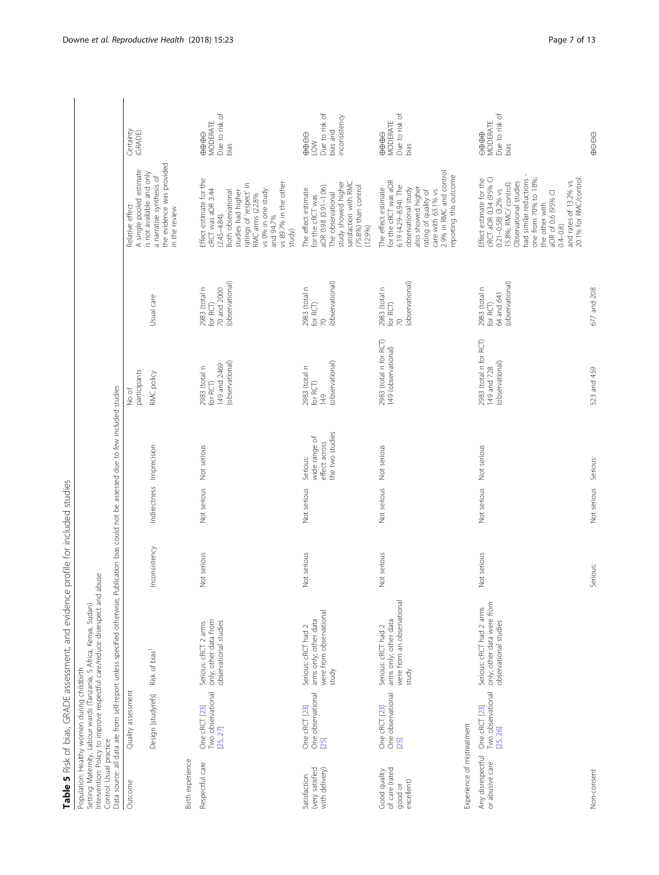| ١<br>ì<br>١<br>ļ        |
|-------------------------|
| $\frac{1}{4}$           |
|                         |
| המה הה מה<br> <br> <br> |
| <b>SSS</b>              |
| Ì                       |
| $\frac{1}{2}$<br>I<br>I |
| $\frac{1}{2}$           |
| I<br>Ì                  |
|                         |

Table 5 Risk of bias, GRADE assessment, and evidence profit<br>Population: Healthy women during childbirth<br>Septing: Might provide a diffusion of Africa, Kenya, Sudan)<br>Intervion: Policy to improve respectful care/reduce disres Intervention: Policy to improve respectful care/reduce disrespect and abuse Setting: Maternity, Labour wards (Tanzania, S Africa, Kenya, Sudan) Population: Healthy women during childbirth Control: Usual practice

<span id="page-6-0"></span>

|                                                                    |                                                | Data source: all data are from self-report unless specified otherwise; Publication bias could not be assessed due to few included studies |               |                          |                                                               |                                                              |                                                                          |                                                                                                                                                                                                                                                                                                   |                                                                            |
|--------------------------------------------------------------------|------------------------------------------------|-------------------------------------------------------------------------------------------------------------------------------------------|---------------|--------------------------|---------------------------------------------------------------|--------------------------------------------------------------|--------------------------------------------------------------------------|---------------------------------------------------------------------------------------------------------------------------------------------------------------------------------------------------------------------------------------------------------------------------------------------------|----------------------------------------------------------------------------|
| Outcome                                                            | Quality assessment                             |                                                                                                                                           |               |                          |                                                               | participants<br>No of                                        |                                                                          | A single pooled estimate<br>Relative effect                                                                                                                                                                                                                                                       | Certainty<br>(GRADE)                                                       |
|                                                                    | Design [studyrefs]                             | Risk of bias <sup>1</sup>                                                                                                                 | Inconsistency | Indirectness Imprecision |                                                               | RMC policy                                                   | Usual care                                                               | the evidence was provided<br>is not available and only<br>a narrative synthesis of<br>in the review                                                                                                                                                                                               |                                                                            |
| Birth experience                                                   |                                                |                                                                                                                                           |               |                          |                                                               |                                                              |                                                                          |                                                                                                                                                                                                                                                                                                   |                                                                            |
| Respectful care                                                    | Two observational<br>One cRCT [23]<br>[25, 27] | only; other data from<br>observational studies<br>Serious: cRCT 2 arms                                                                    | Not serious   | Not serious Not serious  |                                                               | (observational)<br>149 and 2469<br>2983 (total n<br>for RCT) | (observational)<br>2983 (total n<br>70 and 2000<br>for RCT)              | Effect estimate for the<br>vs 89.7% in the other<br>ratings of 'respect' in<br>CRCT was aOR 3.44<br>vs 0% in one study<br>Both observational<br>studies had higher<br>RMC arms (22.8%<br>$(2.45 - 4.84)$<br>and 94.7%<br>study)                                                                   | Due to risk of<br>MODERATE<br>$\theta \theta \theta$<br>bias               |
| (very satisfied<br>with delivery)<br>Satisfaction                  | One observational<br>One cRCT [23]<br>$[25]$   | were from observational<br>arms only; other data<br>Serious: cRCT had 2<br>study                                                          | Not serious   | Not serious              | the two studies<br>wide range of<br>effect across<br>Serious: | (observational)<br>2983 (total n<br>for RCT)<br>149          | (observational)<br>2983 (total n<br>for RCT)<br>$\overline{\mathcal{R}}$ | study showed higher<br>satisfaction with RMC<br>(75.8%) than control<br>aOR 0.98 (0.91-1.06)<br>The effect estimate<br>The observational<br>for the cRCT was<br>(12.9%)                                                                                                                           | Due to risk of<br>inconsistency<br>bias and<br>$\theta\theta\theta$<br>LOW |
| of care (rated<br>Good quality<br>excellent)<br>good or            | One observational<br>One cRCT [23]<br>$[25]$   | were from an observational<br>arms only; other data<br>Serious: cRCT had 2<br>study                                                       | Not serious   | Not serious              | Not serious                                                   | 2983 (total n for RCT)<br>149 (observational)                | (observational)<br>2983 (total n<br>for RCT)<br>R                        | 2.9% in RMC and control<br>reporting this outcome<br>for the cRCT was aOR<br>6.19 (4.29-8.94). The<br>The effect estimate<br>also showed higher<br>observational study<br>rating of quality of<br>care with 63.1% vs                                                                              | Due to risk of<br>MODERATE<br>$\theta\theta\theta$<br>bias                 |
| Experience of mistreatment<br>Any disrespectful<br>or abusive care | Two observational<br>One cRCT [23]<br>[25, 26] | only; other data were from<br>Serious: cRCT had 2 arms<br>observational studies                                                           | Not serious   | Not serious              | Not serious                                                   | 2983 (total n for RCT)<br>(observational)<br>149 and 728     | (observational)<br>2983 (total n<br>64 and 641<br>for RCT)               | 20.1% for RMC/control.<br>had similar reductions<br>one from 70% to 18%;<br>Effect estimate for the<br><b>CRCT aOR 0.34 (95% CI</b><br>Observational studies<br>and rates of 13.2% vs<br>15.8%; RMC/ control).<br>$0.21 - 0.58$ ) (3.2% vs<br>aOR of 0.6 (95% CI<br>the other with<br>$0.4 - 0.8$ | Due to risk of<br>MODERATE<br>€€€€<br>bias                                 |

 $\theta$ 

Non-consent Serious: Not serious Serious: 523 and 459 677 and 208 ⊕⊝⊝⊝

Not serious Serious:

Serious:

Non-consent

677 and 208

523 and 459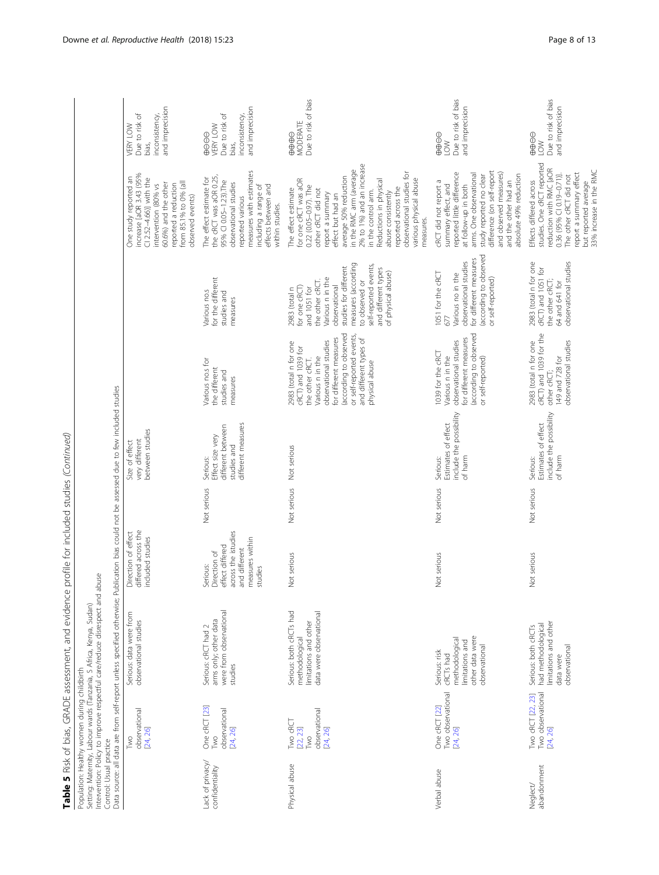| 5<br>١<br>J              |
|--------------------------|
|                          |
|                          |
|                          |
| j<br>ζ                   |
|                          |
|                          |
|                          |
|                          |
|                          |
|                          |
|                          |
|                          |
|                          |
| ļ                        |
| $\frac{1}{2}$            |
|                          |
|                          |
| í                        |
|                          |
| an an an un seate        |
| ļ                        |
|                          |
|                          |
|                          |
| $\overline{\phantom{a}}$ |
| $\frac{1}{2}$<br>ī       |
| ļ                        |
|                          |
|                          |
|                          |
|                          |
| )<br>)                   |
|                          |
| j                        |
| J<br>I                   |
| ١<br>l                   |
| l<br>١                   |
| I<br>1                   |
| l                        |
| d                        |
| í                        |
|                          |
| j<br>j                   |
| j                        |
| ı                        |
| )<br>J                   |
| I                        |
| í                        |
| í                        |

Table 5 Risk of bias, GRADE assessment, and evidence profit<br>Population: Healthy women during childbir.<br>Septing: Market women during childbir.<br>Interview Policy to improve respectful care/reduce disrespect and abuse<br>Control: Setting: Maternity, Labour wards (Tanzania, S Africa, Kenya, Sudan) Population: Healthy women during childbirth

Intervention: Policy to improve respectful care/reduce disrespect and abuse

Control: Usual practice

|                                     |                                                                                    | Data source: all data are from self-report unless specified otherwise; Publication bias could not be assessed due to few included studies |                                                                                                                          |             |                                                                                        |                                                                                                                                                                                                                                         |                                                                                                                                                                                                                                               |                                                                                                                                                                                                                                                                                                                                                                                        |                                                                                          |
|-------------------------------------|------------------------------------------------------------------------------------|-------------------------------------------------------------------------------------------------------------------------------------------|--------------------------------------------------------------------------------------------------------------------------|-------------|----------------------------------------------------------------------------------------|-----------------------------------------------------------------------------------------------------------------------------------------------------------------------------------------------------------------------------------------|-----------------------------------------------------------------------------------------------------------------------------------------------------------------------------------------------------------------------------------------------|----------------------------------------------------------------------------------------------------------------------------------------------------------------------------------------------------------------------------------------------------------------------------------------------------------------------------------------------------------------------------------------|------------------------------------------------------------------------------------------|
|                                     | observational<br>[24, 26]<br>Īмо                                                   | Serious: data were from<br>observational studies                                                                                          | differed across the<br>Direction of effect<br>included studies                                                           |             | between studies<br>very different<br>Size of effect                                    |                                                                                                                                                                                                                                         |                                                                                                                                                                                                                                               | increase [aOR 3.43 (95%<br>One study reported an<br>CI 2.52-4.66)] with the<br>from 85.1% to 0% (all<br>60.6%) and the other<br>reported a reduction<br>intervention (80% vs<br>observed events)                                                                                                                                                                                       | and imprecision<br>Due to risk of<br>inconsistency,<br>VERY LOW<br>bias,                 |
| Lack of privacy/<br>confidentiality | One cRCT [23]<br>observational<br>[24, 26]<br>Īwo                                  | were from observational<br>arms only; other data<br>Serious: cRCT had 2<br>studies                                                        | across the istudies<br>measures within<br>effect differed<br>and different<br>Direction of<br><b>Serious:</b><br>studies | Not serious | different measures<br>different between<br>Effect size very<br>studies and<br>Serious: | Various no.s for<br>the different<br>studies and<br>measures                                                                                                                                                                            | for the different<br>Various no.s<br>studies and<br>measures                                                                                                                                                                                  | measures with estimates<br>the cRCT was aOR 0.25,<br>The effect estimate for<br>95% CI 0.05-1.23). The<br>observational studies<br>including a range of<br>effects between and<br>reported various<br>within studies.                                                                                                                                                                  | and imprecision<br>Due to risk of<br>inconsistency,<br>VERY LOW<br>$\theta$ eee<br>bias, |
| Physical abuse                      | observational<br><b>Tho cRCT</b><br>[22, 23]<br>[24, 26]<br><b>I</b> <sub>NO</sub> | Serious: both cRCTs had<br>data were observational<br>limitations and other<br>methodological                                             | Not serious                                                                                                              | Not serious | Not serious                                                                            | (according to observed<br>or self-reported events,<br>for different measures<br>and different types of<br>observational studies<br>2983 (total n for one<br>cRCT) and 1039 for<br>Various n in the<br>the other cRCT.<br>physical abuse | measures (according<br>self-reported events,<br>studies for different<br>and different types<br>of physical abuse)<br>Various n in the<br>to observed or<br>the other cRCT<br>for one cRCT)<br>observational<br>and 1051 for<br>2983 (total n | 2% to 1%) and an increase<br>in the RMC arm (average<br>observational studies for<br>average 50% reduction<br>for one cRCT was aOR<br>various physical abuse<br>Reductions in physical<br>0.22 (0.05-0.97). The<br>reported across the<br>The effect estimate<br>other cRCT did not<br>in the control arm.<br>abuse consistently<br>report a summary<br>effect but had an<br>measures. | Due to risk of bias<br>MODERATE<br>$\oplus \oplus \oplus$                                |
| Verbal abuse                        | Two observational<br>One cRCT [22]<br>[24, 26]                                     | other data were<br>methodological<br>limitations and<br>observational<br>Serious: risk<br>cRCT <sub>s</sub> had                           | Not serious                                                                                                              | Not serious | include the possibility<br>Estimates of effect<br>of harm<br>Serious:                  | (according to observed<br>for different measures<br>observational studies<br>1039 for the cRCT<br>Various n in the<br>or self-reported)                                                                                                 | (according to observed<br>for different measures<br>observational studies<br>1051 for the cRCT<br>Various no in the<br>or self-reported)<br>677                                                                                               | difference (on self-report<br>reported little difference<br>and observed measures)<br>absolute 49% reduction<br>arms. One observational<br>study reported no clear<br>cRCT did not report a<br>and the other had an<br>at follow-up in both<br>summary effect, and                                                                                                                     | Due to risk of bias<br>and imprecision<br>$\theta$<br><b>NOT</b>                         |
| abandonment<br>Neglect/             | Two observational<br>Two cRCT [22, 23]<br>[24, 26]                                 | limitations and other<br>had methodological<br>Serious: both cRCTs<br>observational<br>data were                                          | Not serious                                                                                                              | Not serious | include the possibility<br>Estimates of effect<br>of harm<br>Serious:                  | cRCT) and 1039 for the<br>2983 (total n for one<br>observational studies<br>149 and 728 for<br>other cRCT;                                                                                                                              | observational studies<br>2983 (total n for one<br>CRCT) and 1051 for<br>the other cRCT;<br>64 and 641 for                                                                                                                                     | studies. One cRCT reported<br>reduction with RMC [aOR<br>33% increase in the RMC<br>0.36 (95% Cl 0.19-0.71)].<br>report a summary effect<br>The other cRCT did not<br>Effects differed across<br>but reported average                                                                                                                                                                  | Due to risk of bias<br>and imprecision<br>$\oplus \oplus \oplus$<br><b>NOT</b>           |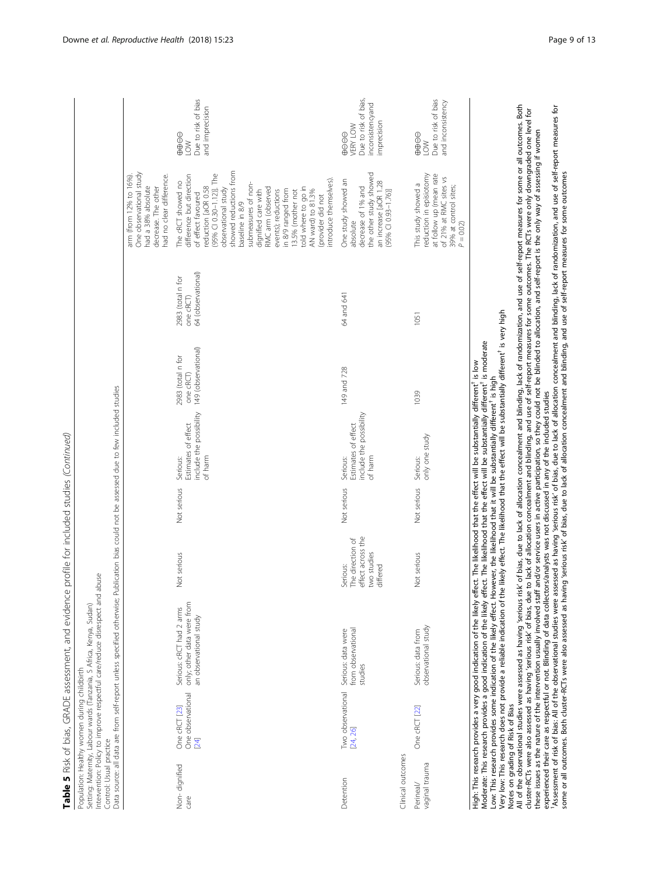| j<br>ţ<br>j                                     |
|-------------------------------------------------|
| :                                               |
|                                                 |
| ;<br>)<br>$\frac{1}{2}$<br>ī                    |
| .<br>האמר<br>֖֖֖֖֚֚֚֚֚֚֬                        |
| $\overline{\phantom{a}}$                        |
| $500 - 100$                                     |
| i<br>j<br>j                                     |
| j<br>)<br>l<br>$\mathbf{r}$<br>ĺ<br>l<br>l<br>١ |
| $\frac{1}{2}$                                   |
| j<br>í<br>ı<br>١                                |
| <br> <br> <br>I<br>ī<br>ı                       |

|                                                  | לא ביו המוני המוני המוני המוני המוני המוני המוני המוני המוני המוני המוני המוני המוני המוני המוני המוני המוני ה |                                                                                                                                                                                                                                                                                                                                                                                                                                                                                                                                                             |                                                                              |             |                                                                       |                                                                                                       |                                                      | arm (from 12% to 16%).                                                                                                                                                                                                                                                                                                                                                                                                     |                                                                                     |
|--------------------------------------------------|----------------------------------------------------------------------------------------------------------------|-------------------------------------------------------------------------------------------------------------------------------------------------------------------------------------------------------------------------------------------------------------------------------------------------------------------------------------------------------------------------------------------------------------------------------------------------------------------------------------------------------------------------------------------------------------|------------------------------------------------------------------------------|-------------|-----------------------------------------------------------------------|-------------------------------------------------------------------------------------------------------|------------------------------------------------------|----------------------------------------------------------------------------------------------------------------------------------------------------------------------------------------------------------------------------------------------------------------------------------------------------------------------------------------------------------------------------------------------------------------------------|-------------------------------------------------------------------------------------|
|                                                  |                                                                                                                |                                                                                                                                                                                                                                                                                                                                                                                                                                                                                                                                                             |                                                                              |             |                                                                       |                                                                                                       |                                                      | One observational study<br>had no clear difference.<br>had a 38% absolute<br>decrease. The other                                                                                                                                                                                                                                                                                                                           |                                                                                     |
| Non-dignified<br>care                            | One observational<br>One cRCT [23]<br>$[24]$                                                                   | only; other data were from<br>Serious: cRCT had 2 arms<br>an observational study                                                                                                                                                                                                                                                                                                                                                                                                                                                                            | Not serious                                                                  | Not serious | include the possibility<br>Estimates of effect<br>of harm<br>Serious: | 149 (observational)<br>2983 (total n for<br>one cRCT)                                                 | 64 (observational)<br>2983 (total n for<br>one cRCT) | showed reductions from<br>(95% CI 0.30-1.12)]. The<br>difference but direction<br>introduce themselves).<br>The cRCT showed no<br>submeasures of non-<br>told where to go in<br>reduction [aOR 0.58<br>observational study<br>RMC arm (observed<br>in 8/9 ranged from<br>events); reductions<br>AN ward) to 81.3%<br>13.5% (mother not<br>dignified care with<br>of effect favoured<br>provider did not<br>baseline in 8/9 | Due to risk of bias<br>and imprecision<br>$\oplus \oplus \oplus$<br>LOW             |
| Detention                                        | Two observational<br>[24, 26]                                                                                  | from observational<br>Serious: data were<br>studies                                                                                                                                                                                                                                                                                                                                                                                                                                                                                                         | effect across the<br>Serious:<br>The direction of<br>two studies<br>differed | Not serious | include the possibility<br>Estimates of effect<br>Serious:<br>of harm | 149 and 728                                                                                           | 64 and 641                                           | the other study showed<br>One study showed an<br>an increase [aOR 1.28<br>decrease of 1% and<br>$(95% \text{ C}10.93 - 1.76)]$<br>absolute                                                                                                                                                                                                                                                                                 | Due to risk of bias,<br>inconsistencyand<br>imprecision<br>VERY LOW<br>$\theta$ eee |
| Clinical outcomes<br>waginal trauma<br>Perineal/ | One cRCT [22]                                                                                                  | observational study<br>Serious: data from                                                                                                                                                                                                                                                                                                                                                                                                                                                                                                                   | Not serious                                                                  | Not serious | only one study<br>Serious:                                            | 1039                                                                                                  | 1051                                                 | reduction in episiotomy<br>at follow up (mean rate<br>of 21% at RMC sites vs<br>This study showed a<br>39% at control sites;<br>$P = 0.02$                                                                                                                                                                                                                                                                                 | Due to risk of bias<br>and inconsistency<br>$\theta$<br>LOW                         |
| Notes on grading of Risk of Bias                 |                                                                                                                | Moderate: This research provides a good indication of the likely effect. The likelihood that the effect will be substantially different <sup>1</sup> is moderate<br>High: This research provides a very good indication of the likely effect. The likelihood that the effect will be substantially different <sup>†</sup> is low<br>Low. This research provides some indication of the likely effect. However, the likelihood that it will be substantially different is high<br>Very low: This research does not provide a reliable indication of the lil- |                                                                              |             |                                                                       | kely effect. The likelihood that the effect will be substantially different <sup>†</sup> is very high |                                                      |                                                                                                                                                                                                                                                                                                                                                                                                                            |                                                                                     |

Notes on grading of Risk of Bias<br>All of the observational studies were assessed as having 'serious risk' of bias, due to lack of allocation concelment and blinding, lack of randomization, and use of self-report measures fo All of the observational studies were assessed as having 'serious risk' of bias, due to lack of allocation concealment and blinding, lack of randomization, and use of self-report measures for some or all outcomes. Both cluster-RCTs were also assessed as having 'serious risk' of bias, due to lack of allocation concealment and blinding, and use of self-report measures for some outcomes. The RCTs were only downgraded one level for these issues as the nature of the intervention usually involved staff and/or service users in active participation, so they could not be blinded to allocation, and self-report is the only way of assessing if women

experienced their care as respectful or not. Blinding of data collectors/analysts was not discussed in any of the included studies 1Assessment of risk of bias: All of the observational studies were assessed as having 'serious risk' of bias, due to lack of allocation concealment and blinding, lack of randomization, and use of self-report measures for some or all outcomes. Both cluster-RCTs were also assessed as having 'serious risk' of bias, due to lack of allocation concealment and blinding, and use of self-report measures for some outcomes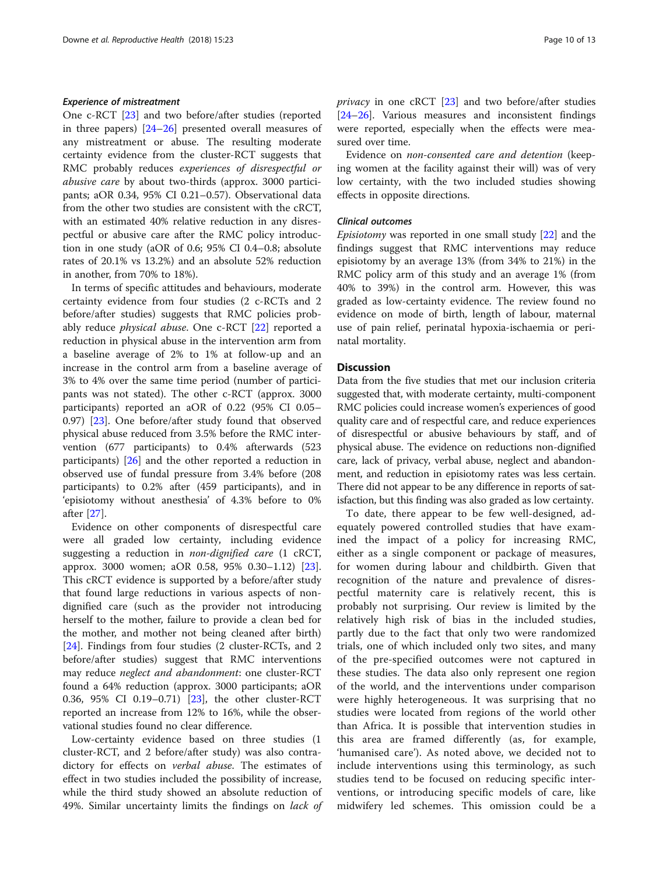#### Experience of mistreatment

One c-RCT [[23\]](#page-12-0) and two before/after studies (reported in three papers) [[24](#page-12-0)–[26](#page-12-0)] presented overall measures of any mistreatment or abuse. The resulting moderate certainty evidence from the cluster-RCT suggests that RMC probably reduces experiences of disrespectful or abusive care by about two-thirds (approx. 3000 participants; aOR 0.34, 95% CI 0.21–0.57). Observational data from the other two studies are consistent with the cRCT, with an estimated 40% relative reduction in any disrespectful or abusive care after the RMC policy introduction in one study (aOR of 0.6; 95% CI 0.4–0.8; absolute rates of 20.1% vs 13.2%) and an absolute 52% reduction in another, from 70% to 18%).

In terms of specific attitudes and behaviours, moderate certainty evidence from four studies (2 c-RCTs and 2 before/after studies) suggests that RMC policies probably reduce physical abuse. One c-RCT [\[22](#page-12-0)] reported a reduction in physical abuse in the intervention arm from a baseline average of 2% to 1% at follow-up and an increase in the control arm from a baseline average of 3% to 4% over the same time period (number of participants was not stated). The other c-RCT (approx. 3000 participants) reported an aOR of 0.22 (95% CI 0.05– 0.97) [\[23](#page-12-0)]. One before/after study found that observed physical abuse reduced from 3.5% before the RMC intervention (677 participants) to 0.4% afterwards (523 participants) [[26\]](#page-12-0) and the other reported a reduction in observed use of fundal pressure from 3.4% before (208 participants) to 0.2% after (459 participants), and in 'episiotomy without anesthesia' of 4.3% before to 0% after [\[27](#page-12-0)].

Evidence on other components of disrespectful care were all graded low certainty, including evidence suggesting a reduction in non-dignified care (1 cRCT, approx. 3000 women; aOR 0.58, 95% 0.30–1.12) [\[23](#page-12-0)]. This cRCT evidence is supported by a before/after study that found large reductions in various aspects of nondignified care (such as the provider not introducing herself to the mother, failure to provide a clean bed for the mother, and mother not being cleaned after birth) [[24\]](#page-12-0). Findings from four studies (2 cluster-RCTs, and 2 before/after studies) suggest that RMC interventions may reduce *neglect and abandonment*: one cluster-RCT found a 64% reduction (approx. 3000 participants; aOR 0.36, 95% CI 0.19–0.71) [[23](#page-12-0)], the other cluster-RCT reported an increase from 12% to 16%, while the observational studies found no clear difference.

Low-certainty evidence based on three studies (1 cluster-RCT, and 2 before/after study) was also contradictory for effects on verbal abuse. The estimates of effect in two studies included the possibility of increase, while the third study showed an absolute reduction of 49%. Similar uncertainty limits the findings on *lack of*  privacy in one cRCT [[23\]](#page-12-0) and two before/after studies [[24](#page-12-0)–[26](#page-12-0)]. Various measures and inconsistent findings were reported, especially when the effects were measured over time.

Evidence on non-consented care and detention (keeping women at the facility against their will) was of very low certainty, with the two included studies showing effects in opposite directions.

# Clinical outcomes

Episiotomy was reported in one small study [\[22\]](#page-12-0) and the findings suggest that RMC interventions may reduce episiotomy by an average 13% (from 34% to 21%) in the RMC policy arm of this study and an average 1% (from 40% to 39%) in the control arm. However, this was graded as low-certainty evidence. The review found no evidence on mode of birth, length of labour, maternal use of pain relief, perinatal hypoxia-ischaemia or perinatal mortality.

# **Discussion**

Data from the five studies that met our inclusion criteria suggested that, with moderate certainty, multi-component RMC policies could increase women's experiences of good quality care and of respectful care, and reduce experiences of disrespectful or abusive behaviours by staff, and of physical abuse. The evidence on reductions non-dignified care, lack of privacy, verbal abuse, neglect and abandonment, and reduction in episiotomy rates was less certain. There did not appear to be any difference in reports of satisfaction, but this finding was also graded as low certainty.

To date, there appear to be few well-designed, adequately powered controlled studies that have examined the impact of a policy for increasing RMC, either as a single component or package of measures, for women during labour and childbirth. Given that recognition of the nature and prevalence of disrespectful maternity care is relatively recent, this is probably not surprising. Our review is limited by the relatively high risk of bias in the included studies, partly due to the fact that only two were randomized trials, one of which included only two sites, and many of the pre-specified outcomes were not captured in these studies. The data also only represent one region of the world, and the interventions under comparison were highly heterogeneous. It was surprising that no studies were located from regions of the world other than Africa. It is possible that intervention studies in this area are framed differently (as, for example, 'humanised care'). As noted above, we decided not to include interventions using this terminology, as such studies tend to be focused on reducing specific interventions, or introducing specific models of care, like midwifery led schemes. This omission could be a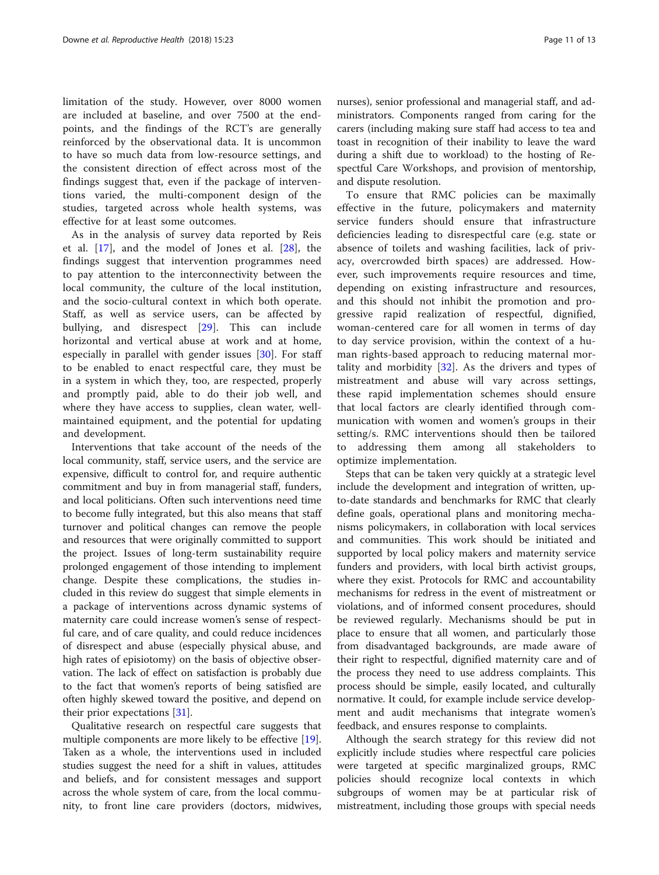limitation of the study. However, over 8000 women are included at baseline, and over 7500 at the endpoints, and the findings of the RCT's are generally reinforced by the observational data. It is uncommon to have so much data from low-resource settings, and the consistent direction of effect across most of the findings suggest that, even if the package of interventions varied, the multi-component design of the studies, targeted across whole health systems, was effective for at least some outcomes.

As in the analysis of survey data reported by Reis et al. [[17\]](#page-12-0), and the model of Jones et al. [\[28](#page-12-0)], the findings suggest that intervention programmes need to pay attention to the interconnectivity between the local community, the culture of the local institution, and the socio-cultural context in which both operate. Staff, as well as service users, can be affected by bullying, and disrespect [\[29](#page-12-0)]. This can include horizontal and vertical abuse at work and at home, especially in parallel with gender issues [[30\]](#page-12-0). For staff to be enabled to enact respectful care, they must be in a system in which they, too, are respected, properly and promptly paid, able to do their job well, and where they have access to supplies, clean water, wellmaintained equipment, and the potential for updating and development.

Interventions that take account of the needs of the local community, staff, service users, and the service are expensive, difficult to control for, and require authentic commitment and buy in from managerial staff, funders, and local politicians. Often such interventions need time to become fully integrated, but this also means that staff turnover and political changes can remove the people and resources that were originally committed to support the project. Issues of long-term sustainability require prolonged engagement of those intending to implement change. Despite these complications, the studies included in this review do suggest that simple elements in a package of interventions across dynamic systems of maternity care could increase women's sense of respectful care, and of care quality, and could reduce incidences of disrespect and abuse (especially physical abuse, and high rates of episiotomy) on the basis of objective observation. The lack of effect on satisfaction is probably due to the fact that women's reports of being satisfied are often highly skewed toward the positive, and depend on their prior expectations [[31\]](#page-12-0).

Qualitative research on respectful care suggests that multiple components are more likely to be effective [\[19](#page-12-0)]. Taken as a whole, the interventions used in included studies suggest the need for a shift in values, attitudes and beliefs, and for consistent messages and support across the whole system of care, from the local community, to front line care providers (doctors, midwives,

nurses), senior professional and managerial staff, and administrators. Components ranged from caring for the carers (including making sure staff had access to tea and toast in recognition of their inability to leave the ward during a shift due to workload) to the hosting of Respectful Care Workshops, and provision of mentorship, and dispute resolution.

To ensure that RMC policies can be maximally effective in the future, policymakers and maternity service funders should ensure that infrastructure deficiencies leading to disrespectful care (e.g. state or absence of toilets and washing facilities, lack of privacy, overcrowded birth spaces) are addressed. However, such improvements require resources and time, depending on existing infrastructure and resources, and this should not inhibit the promotion and progressive rapid realization of respectful, dignified, woman-centered care for all women in terms of day to day service provision, within the context of a human rights-based approach to reducing maternal mortality and morbidity [\[32](#page-12-0)]. As the drivers and types of mistreatment and abuse will vary across settings, these rapid implementation schemes should ensure that local factors are clearly identified through communication with women and women's groups in their setting/s. RMC interventions should then be tailored to addressing them among all stakeholders to optimize implementation.

Steps that can be taken very quickly at a strategic level include the development and integration of written, upto-date standards and benchmarks for RMC that clearly define goals, operational plans and monitoring mechanisms policymakers, in collaboration with local services and communities. This work should be initiated and supported by local policy makers and maternity service funders and providers, with local birth activist groups, where they exist. Protocols for RMC and accountability mechanisms for redress in the event of mistreatment or violations, and of informed consent procedures, should be reviewed regularly. Mechanisms should be put in place to ensure that all women, and particularly those from disadvantaged backgrounds, are made aware of their right to respectful, dignified maternity care and of the process they need to use address complaints. This process should be simple, easily located, and culturally normative. It could, for example include service development and audit mechanisms that integrate women's feedback, and ensures response to complaints.

Although the search strategy for this review did not explicitly include studies where respectful care policies were targeted at specific marginalized groups, RMC policies should recognize local contexts in which subgroups of women may be at particular risk of mistreatment, including those groups with special needs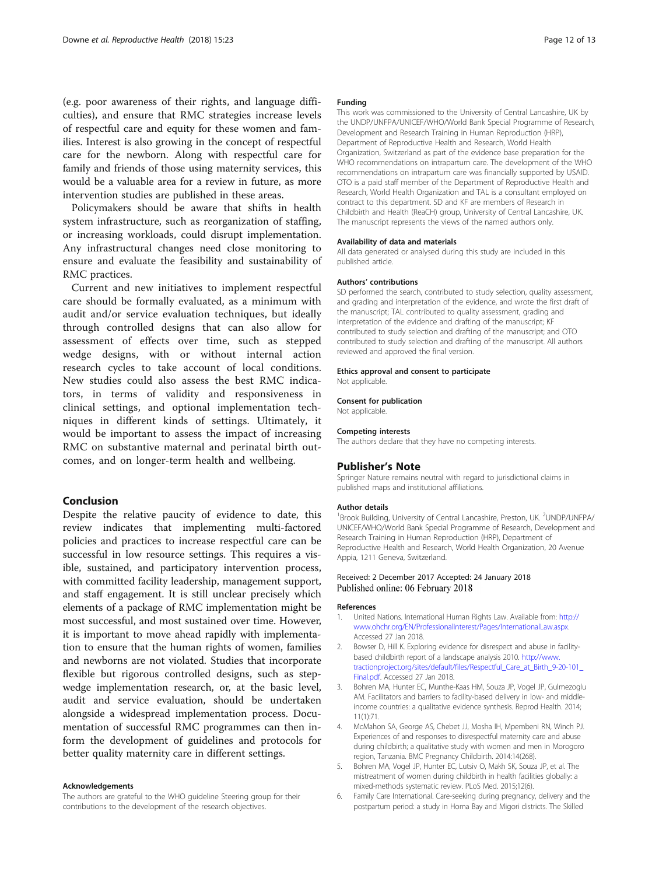<span id="page-11-0"></span>(e.g. poor awareness of their rights, and language difficulties), and ensure that RMC strategies increase levels of respectful care and equity for these women and families. Interest is also growing in the concept of respectful care for the newborn. Along with respectful care for family and friends of those using maternity services, this would be a valuable area for a review in future, as more intervention studies are published in these areas.

Policymakers should be aware that shifts in health system infrastructure, such as reorganization of staffing, or increasing workloads, could disrupt implementation. Any infrastructural changes need close monitoring to ensure and evaluate the feasibility and sustainability of RMC practices.

Current and new initiatives to implement respectful care should be formally evaluated, as a minimum with audit and/or service evaluation techniques, but ideally through controlled designs that can also allow for assessment of effects over time, such as stepped wedge designs, with or without internal action research cycles to take account of local conditions. New studies could also assess the best RMC indicators, in terms of validity and responsiveness in clinical settings, and optional implementation techniques in different kinds of settings. Ultimately, it would be important to assess the impact of increasing RMC on substantive maternal and perinatal birth outcomes, and on longer-term health and wellbeing.

# Conclusion

Despite the relative paucity of evidence to date, this review indicates that implementing multi-factored policies and practices to increase respectful care can be successful in low resource settings. This requires a visible, sustained, and participatory intervention process, with committed facility leadership, management support, and staff engagement. It is still unclear precisely which elements of a package of RMC implementation might be most successful, and most sustained over time. However, it is important to move ahead rapidly with implementation to ensure that the human rights of women, families and newborns are not violated. Studies that incorporate flexible but rigorous controlled designs, such as stepwedge implementation research, or, at the basic level, audit and service evaluation, should be undertaken alongside a widespread implementation process. Documentation of successful RMC programmes can then inform the development of guidelines and protocols for better quality maternity care in different settings.

#### Acknowledgements

The authors are grateful to the WHO guideline Steering group for their contributions to the development of the research objectives.

#### Funding

This work was commissioned to the University of Central Lancashire, UK by the UNDP/UNFPA/UNICEF/WHO/World Bank Special Programme of Research, Development and Research Training in Human Reproduction (HRP), Department of Reproductive Health and Research, World Health Organization, Switzerland as part of the evidence base preparation for the WHO recommendations on intrapartum care. The development of the WHO recommendations on intrapartum care was financially supported by USAID. OTO is a paid staff member of the Department of Reproductive Health and Research, World Health Organization and TAL is a consultant employed on contract to this department. SD and KF are members of Research in Childbirth and Health (ReaCH) group, University of Central Lancashire, UK. The manuscript represents the views of the named authors only.

#### Availability of data and materials

All data generated or analysed during this study are included in this published article.

#### Authors' contributions

SD performed the search, contributed to study selection, quality assessment, and grading and interpretation of the evidence, and wrote the first draft of the manuscript; TAL contributed to quality assessment, grading and interpretation of the evidence and drafting of the manuscript; KF contributed to study selection and drafting of the manuscript; and OTO contributed to study selection and drafting of the manuscript. All authors reviewed and approved the final version.

#### Ethics approval and consent to participate Not applicable.

Consent for publication Not applicable.

#### Competing interests

The authors declare that they have no competing interests.

## Publisher's Note

Springer Nature remains neutral with regard to jurisdictional claims in published maps and institutional affiliations.

#### Author details

<sup>1</sup> Brook Building, University of Central Lancashire, Preston, UK. <sup>2</sup> UNDP/UNFPA/ UNICEF/WHO/World Bank Special Programme of Research, Development and Research Training in Human Reproduction (HRP), Department of Reproductive Health and Research, World Health Organization, 20 Avenue Appia, 1211 Geneva, Switzerland.

## Received: 2 December 2017 Accepted: 24 January 2018 Published online: 06 February 2018

#### References

- 1. United Nations. International Human Rights Law. Available from: [http://](http://www.ohchr.org/EN/ProfessionalInterest/Pages/InternationalLaw.aspx) [www.ohchr.org/EN/ProfessionalInterest/Pages/InternationalLaw.aspx.](http://www.ohchr.org/EN/ProfessionalInterest/Pages/InternationalLaw.aspx) Accessed 27 Jan 2018.
- Bowser D, Hill K. Exploring evidence for disrespect and abuse in facilitybased childbirth report of a landscape analysis 2010. [http://www.](http://www.tractionproject.org/sites/default/files/Respectful_Care_at_Birth_9-20-101_Final.pdf) [tractionproject.org/sites/default/files/Respectful\\_Care\\_at\\_Birth\\_9-20-101\\_](http://www.tractionproject.org/sites/default/files/Respectful_Care_at_Birth_9-20-101_Final.pdf) [Final.pdf.](http://www.tractionproject.org/sites/default/files/Respectful_Care_at_Birth_9-20-101_Final.pdf) Accessed 27 Jan 2018.
- 3. Bohren MA, Hunter EC, Munthe-Kaas HM, Souza JP, Vogel JP, Gulmezoglu AM. Facilitators and barriers to facility-based delivery in low- and middleincome countries: a qualitative evidence synthesis. Reprod Health. 2014; 11(1):71.
- 4. McMahon SA, George AS, Chebet JJ, Mosha IH, Mpembeni RN, Winch PJ. Experiences of and responses to disrespectful maternity care and abuse during childbirth; a qualitative study with women and men in Morogoro region, Tanzania. BMC Pregnancy Childbirth. 2014:14(268).
- 5. Bohren MA, Vogel JP, Hunter EC, Lutsiv O, Makh SK, Souza JP, et al. The mistreatment of women during childbirth in health facilities globally: a mixed-methods systematic review. PLoS Med. 2015;12(6).
- 6. Family Care International. Care-seeking during pregnancy, delivery and the postpartum period: a study in Homa Bay and Migori districts. The Skilled